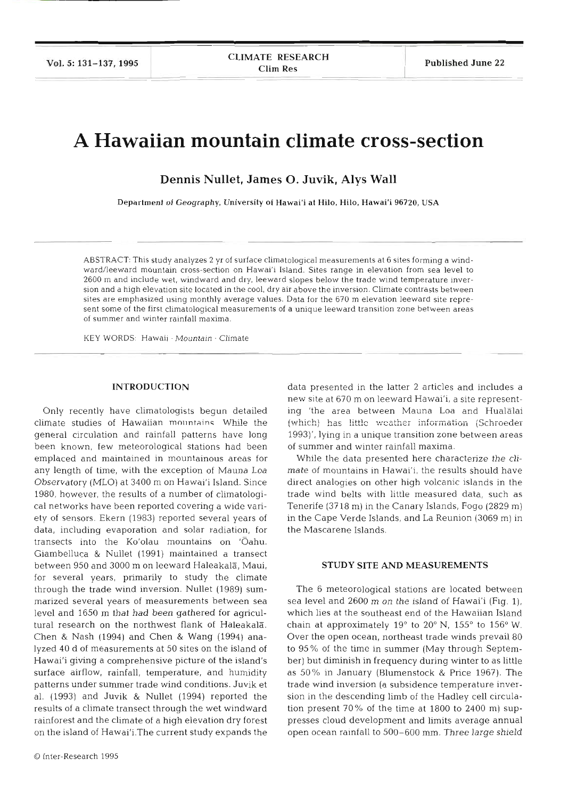# **A Hawaiian mountain climate cross-section**

**Dennis Nullet, James 0. Juvik, Alys Wall** 

Department of Geography, University of Hawai'i at Hilo, Hilo, Hawai'i **96720,** USA

ABSTRACT: This study analyzes **2** yr of surface climatological measurements at 6 sites forming a windward/leeward mountain cross-section on Hawai'i Island. Sites range in elevation from sea level to 2600 m and include wet, windward and dry, leeward slopes below the trade wind temperature inversion and a high elevation site located in the cool, dry air above the inversion. Climate contrasts between sites are emphasized using monthly average values. Data for the 670 m elevation leeward site represent some of the first climatological measurements of a unique leeward transition zone between areas of summer and winter rainfall maxima.

KEY WORDS: Hawaii · Mountain · Clim

#### INTRODUCTION

Only recently have climatologists begun detailed climate studies of Hawaiian mountains While the general circulation and rainfall patterns have long been known, few meteorological stations had been emplaced and maintained in mountainous areas for any length of time, with the exception of Mauna Loa Observatory (MLO) at 3400 m on Hawai'i Island. Since 1980, however, the results of a number of climatological networks have been reported covering a wide variety of sensors. Ekern (1983) reported several years of data, including evaporation and solar radiation, for transects into the Ko'olau mountains on 'Oał Giambelluca & Nullet (1991) maintained a transect between 950 and 3000 m on leeward Haleakala, Maui, for several years, primarily to study the climate through the trade wind inversion. Nullet (1989) summarized several years of measurements between sea level and 1650 m that had been gathered for agricultural research on the northwest flank of Haleakala. Chen & Nash (1994) and Chen & Wang (1994) analyzed 40 d of measurements at 50 sites on the island of Hawai'i giving a comprehensive picture of the island's surface airflow, rainfall, temperature, and humidity patterns under summer trade wind conditions. Juvik et al. (1993) and Juvik & Nullet (1994) reported the results of a climate transect through the wet windward rainforest and the climate of a high elevation dry forest on the island of Hawai'i.The current study expands the

data presented in the latter 2 articles and includes a new site at 670 m on leeward Hawai'i, a site representing 'the area between Mauna Loa and Hualalai (which) has little weather information (Schroeder 1993)', lying in a unique transition zone between areas of summer and winter rainfall maxim

While the data presented here characterize the climate of mountains in Hawai'i, the results should have direct analogies on other high volcanic islands in the trade wind belts with little measured data, such as Tenerife (3718 m) in the Canary Islands, Fogo (2829 m) in the Cape Verde Islands, and La Reunion (3069 m) in the Mascarene Islands.

#### STUDY SITE AND MEASUREMENTS

The 6 meteorological stations are located between sea level and 2600 m on the island of Hawai'i (Fig. I), which lies at the southeast end of the Hawaiian Isla chain at approximately  $19^{\circ}$  to  $20^{\circ}$  N,  $155^{\circ}$  to  $156^{\circ}$  W. Over the open ocean, northeast trade winds prevail 80 to 95% of the time in summer (May through September) but diminish in frequency during winter to as little as 50% in January (Blumenstock & Price 1967). The trade wind inversion (a subsidence temperature inversion in the descending limb of the Hadley cell circulation present  $70\%$  of the time at  $1800$  to  $2400$  m) suppresses cloud development and limits average annual open ocean rainfall to 500-600 mm. Three large shield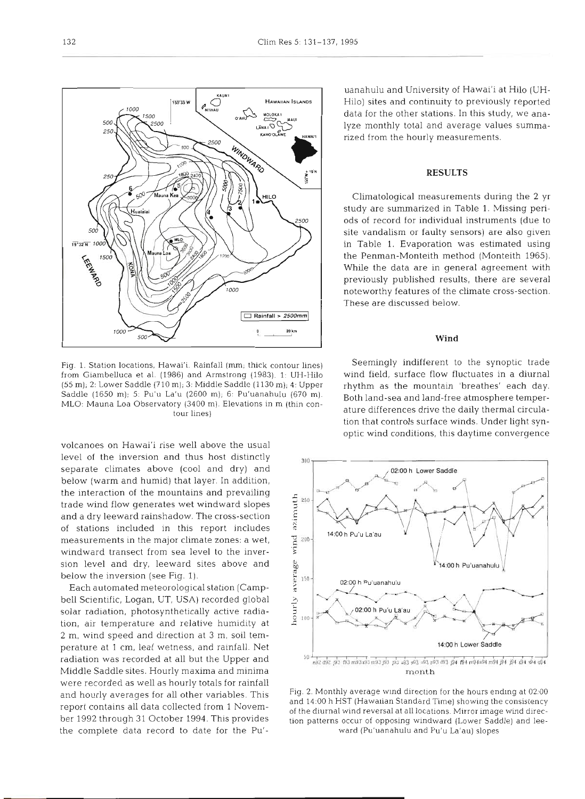

Fig. 1. Station locations, Hawai'i. Rainfall (mm; thick contour lines) from Giambelluca et al. (1986) and Armstrong (1983). 1. UH-Hilo (55 m); 2: Lotver Saddle (710 m); 3: Middle Saddle (1130 m); **4,** Upper Saddle (1650 m); 5: Pu'u La'u (2600 m); 6: Pu'uanahulu (670 m). Both land-sea and land-free atmosphere temper-MLO: Mauna Loa Observatory (3400 m). Elevations in m (thin con-<br>turredifferences drive the daily thermal circulatour lines)

volcanoes on Hawai'i rise well above the usual level of the inversion and thus host distinctly  $\frac{1}{200}$ separate climates above (cool and dry) and below (warm and humid) that layer. In addition, the interaction of the mountains and prevailing<br>trade wind flow generates wet windward slopes<br>and a dry leeward rainshadow. The cross-section<br>of stations included in this report includes trade wind flow generates wet windward slopes and a dry leeward rainshadow. The cross-section of stations included in this report includes measurements in the major climate zones: a wet,  $\frac{2}{3}$   $\frac{200}{5}$  windward transect from sea level to the inverwindward transect from sea level to the inversion level and dry, leeward sites above and<br>below the inversion (see Fig. 1).<br>Each automated meteorological station (Campbelow the inversion (see Fig. 1).

Each automated meteorological station (Campbell Scientific, Logan, UT, USA) recorded global<br>solar radiation, photosynthetically active radia-<br>tion, air temperature and relative humidity at solar radiation, photosynthetically active radiation, air temperature and relative humidity at 2 m, wind speed and direction at **3** m, soil temperature at l cm, leaf wetness, and rainfall. Net radiation was recorded at all but the Upper and Middle Saddle sites. Hourly maxima and minima were recorded as well as hourly totals for rainfall ber 1992 through 31 October 1994. This provides the complete data record to date for the Pu'-

uanahulu and University of Hawai'i at Hi10 (UH- Hilo) sites and continuity to previously reported data for the other stations. In this study, we ana- lyze monthly total and average values summa- rized from the hourly measurements.

### **RESULTS**

aatological measurements during the 2 yr<br>are summarized in Table 1. Missing peri-<br>record for individual instruments (due to<br>ndalism or faulty sensors) are also given<br>ple 1. Evaporation was estimated using<br>nman-Monteith met

## Wind

mingly indifferent to the synoptic trade<br>ield, surface flow fluctuates in a diurnal<br>n as the mountain 'breathes' each day.<br>nnd-sea and land-free atmosphere temper-<br>iifferences drive the daily thermal circula-<br>at controls s



and hourly averages for all other variables. This and 14:00 h HST (Hawaiian Standard Time) showing the consistency report contains all data collected from 1 Novem-<br>of the diurnal wind reversal at all locations. Mirror image wind direction patterns occur of opposing windward (Lower Saddle) and leeward (Pu'uanahulu and Pu'u La'au) slopes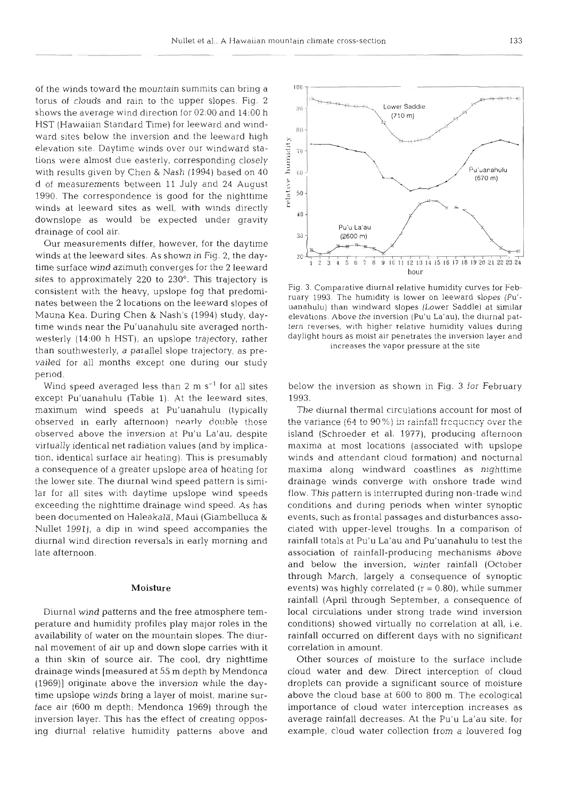of the winds toward the mountain summits can bring a torus of clouds and rain to the upper slopes. Fig. 2 shows the average wind direction for 02:OO and 14:OO h HST (Hawaiian Standard Time) for leeward and windward sites below the inversion and the leeward high elevation site. Daytime winds over our windward stations were almost due easterly, corresponding closely with results given by Chen & Nash (1994) based on 40 d of measurements between 11 July and 24 August 1990. The correspondence is good for the nighttime winds at leeward sites as well, with winds directly downslope as would be expected under gravity drainage of cool air.

Our measurements differ, however, for the daytime winds at the leeward sites. As shown in Fig. 2, the daytime surface wind azimuth converges for the 2 leeward sites to approximately 220 to 230". This trajectory is consistent with the heavy, upslope fog that predominates between the 2 locations on the leeward slopes of Mauna Kea. During Chen & Nash's (1994) study, daytime winds near the Pu'uanahulu site averaged northwesterly (14:OO h HST), an upslope trajectory, rather than southwesterly, a parallel slope trajectory, as prevailed for all months except one during our study period.

Wind speed averaged less than  $2 \text{ m s}^{-1}$  for all sites except Pu'uanahulu (Table 1). At the leeward sites, maximum wind speeds at Pu'uanahulu (typically observed in early afternoon! **nearly** double those observed above the inversion at Pu'u La'au, despite virtually identical net radiation values (and by implication, identical surface air heating). This is presumably a consequence of a greater upslope area of heating for the lower site. The diurnal wind speed pattern is similar for all sites with daytime upslope wind speeds exceeding the nighttime drainage wind speed. As has been documented on Haleakala, Maui (Giambelluca & Nullet 1991), a dip in wind speed accompanies the diurnal wind direction reversals in early morning and late afternoon.

#### Moisture

Diurnal wind patterns and the free atmosphere temperature and humidity profiles play major roles in the availability of water on the mountain slopes. The diurnal movement of air up and down slope carries with it a thin skin of source air. The cool, dry nighttime drainage winds [measured at 55 m depth by Mendonca (1969)j originate above the inversion while the daytime upslope winds bring a layer of moist, marine surface air (600 m depth; Mendonca 1969) through the inversion layer. This has the effect of creating opposing diurnal relative humidity patterns above and



Fig. **3.** Comparative diurnal relative humidity curves for February 1993. The humidity is lower on leeward slopes (Pu' uanahulu) than windward slopes (Lower Saddle) at similar elevations. Above the inversion (Pu'u La'au), the diurnal pattern reverses, with higher relative humidity values during daylight hours as moist air penetrates the inversion layer and increases the vapor pressure at the site

below the inversion as shown in Fig. 3 for February 1993.

The diurnal thermal circulations account for most  $\mu$  the variance (64 to 90%) in rainfall frequency over the island (Schroeder et al. 1977), producing afternoon maxima at most locations (associated with upslope winds and attendant cloud formation) and nocturnal maxima along windward coastlines as nighttime drainage winds converge with onshore trade wind flow. This pattern is interrupted during non-trade wind conditions and during periods when winter synoptic events, such as frontal passages and disturbances associated with upper-level troughs. In a comparison of rainfall totals at Pu'u La'au and Pu'uanahulu to test t association of rainfall-producing mechanisms above and below the inversion, winter rainfall (October through March, largely a consequence of synoptic events) was highly correlated  $(r = 0.80)$ , while summer rainfall (April through September, a consequence of local circulations under strong trade wind inversion conditions) showed virtually no correlation at all, i.e. rainfall occurred on different days with no significant correlation in amoui

Other sources of moisture to the surface inclue cloud water and dew. Direct interception of cloud droplets can provide a significant source of moisture above the cloud base at 600 to 800 m. The ecological importance of cloud water interception increases as average rainfall decreases. At the Pu'u La'au site, for example, cloud water collection from a louvered fog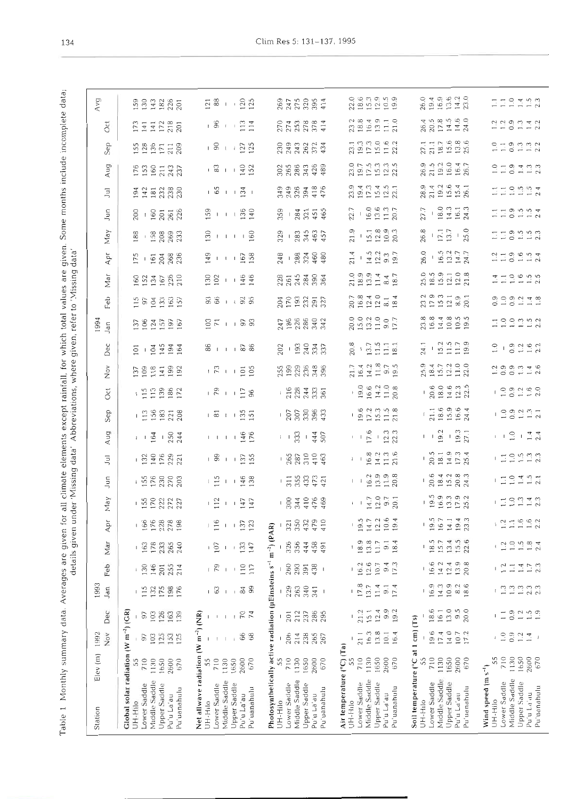**Table 19** all a given under 'Missing data'. Abbreviations, where given, refer to 'Missing data' deferts incomplete incomplete incomplete incomplete incomplete incomplete incomplete incomplete incomplete incomplete data; Table 1 Monthly summary data. Averages are given for all climate elements except rainfall, for which total values are given. Some months include incomplete data;<br>details given under "Missing data" Abbreviations, where give

| May<br>Åρr<br>Mar<br>Feb<br>1993<br>Jan<br>Dec<br>1992<br>Nov | 15622223<br>$-0.66$ $-0.78$ $-0.78$ $-0.78$ $-0.78$ $-0.78$ $-0.78$ $-0.78$ $-0.78$ $-0.78$ $-0.78$ $-0.78$ $-0.78$ $-0.78$ $-0.78$ $-0.78$ $-0.78$ $-0.78$ $-0.78$ $-0.78$ $-0.78$ $-0.78$ $-0.78$ $-0.78$ $-0.78$ $-0.78$ $-0.78$ $-0.7$<br>178<br>265<br>233<br>240<br>163<br>146<br>255<br>130<br>201<br>214<br>175<br>198<br>115<br>132<br>Global solar radiation (W m <sup>-2</sup> ) (GR)<br>126<br>163<br>97<br>103<br>139<br>125<br>153<br>103 | $12 + 32$<br>$-2$ $-22$<br>133<br>107<br>147<br>$\uparrow$<br>$\mathsf I$<br>110<br>$\mathcal{F}_{9}$<br>117<br>63<br>$_{\rm 84}$<br>99<br>$\mathbb{I}$<br>70<br>Net allwave radiation (W m <sup>-2</sup> ) (NR)<br>74<br>$\mathbf{I}% _{0}\left( \mathbf{I}_{1}\right)$<br>$\mathbf I$<br>66<br>68 | $-884000$<br>$\frac{1}{2}$ , $\frac{1}{2}$ , $\frac{1}{2}$ , $\frac{1}{2}$ , $\frac{1}{2}$ , $\frac{1}{2}$ , $\frac{1}{2}$ , $\frac{1}{2}$<br>Photosynthetically active radiation (µEinsteins s <sup>-1</sup> m <sup>-2</sup> ) (P<br>326<br>356<br>444<br>458<br>491<br>260<br>293<br>391<br>438<br>229<br>263<br>340<br>341<br>J.<br>286<br>$20\,\rm{I}$<br>212<br>237<br>295<br>206<br>238<br>265<br>214<br>267 | $\frac{5.5004}{0.40004}$<br>18.9<br>13.8<br>11.7<br>9.1<br>18.4<br>16.2<br>12.6<br>10.7<br>$9.4$<br>17.3<br>17.8<br>13.7<br>11.4<br>$\frac{9.1}{17.4}$<br>9.9<br>21.2<br>12.4<br>19.2<br>151<br>$\mathbf{I}$<br>211<br>16.3<br>13.8<br>10.1<br>16.4                                                                                | 1997922<br>$19.5 + 4.3$<br>$19.6 + 4.3$<br>13.4<br>1.5.5<br>18.5<br>15.7<br>22.6<br>16.6<br>13.9<br>142<br>12.4<br>20.8<br>16.9<br>14.3<br>10.9<br>$8.2\,$<br>18.6<br>18.6<br>13.0<br>9.5<br>20.0<br>161<br>Soil temperature (°C at 1 cm) (Ts)<br>196<br>$14.0$<br>17.4<br>10.7<br>17.2 | $1.2\,$<br>12<br>$\Box$<br>1.3<br>1.3<br>0.9<br>$\frac{2}{1}$ $\frac{3}{1}$ $\frac{9}{1}$<br>$\overline{\phantom{0}}$<br>$\mathrel{\mathop{\mathrel{\mathop{\scriptstyle\mathop{\scriptstyle\mathop{\scriptstyle\mathop{\scriptstyle\mathop{\scriptstyle\mathop{\scriptstyle\mathop{\scriptstyle\mathop{\scriptstyle\mathop{\scriptstyle\mathop{\scriptstyle\mathop{\scriptstyle\mathop{\scriptstyle\mathop{\scriptstyle\mathop{\scriptstyle\mathop{\cal F}}}}}}}}}}}}\math}}$<br>$0.9\,$<br>$1.2\,$ |
|---------------------------------------------------------------|---------------------------------------------------------------------------------------------------------------------------------------------------------------------------------------------------------------------------------------------------------------------------------------------------------------------------------------------------------------------------------------------------------------------------------------------------------|-----------------------------------------------------------------------------------------------------------------------------------------------------------------------------------------------------------------------------------------------------------------------------------------------------|--------------------------------------------------------------------------------------------------------------------------------------------------------------------------------------------------------------------------------------------------------------------------------------------------------------------------------------------------------------------------------------------------------------------|------------------------------------------------------------------------------------------------------------------------------------------------------------------------------------------------------------------------------------------------------------------------------------------------------------------------------------|-----------------------------------------------------------------------------------------------------------------------------------------------------------------------------------------------------------------------------------------------------------------------------------------|------------------------------------------------------------------------------------------------------------------------------------------------------------------------------------------------------------------------------------------------------------------------------------------------------------------------------------------------------------------------------------------------------------------------------------------------------------------------------------------------------|
|                                                               |                                                                                                                                                                                                                                                                                                                                                                                                                                                         |                                                                                                                                                                                                                                                                                                     |                                                                                                                                                                                                                                                                                                                                                                                                                    |                                                                                                                                                                                                                                                                                                                                    |                                                                                                                                                                                                                                                                                         | $-129942$<br>$-21.5992$<br>$1.994$<br>$1.994$<br>$1.7$<br>$2.3$<br>$\frac{3}{1}$<br>$\frac{3}{1}$<br>$\frac{3}{1}$                                                                                                                                                                                                                                                                                                                                                                                   |
|                                                               |                                                                                                                                                                                                                                                                                                                                                                                                                                                         |                                                                                                                                                                                                                                                                                                     |                                                                                                                                                                                                                                                                                                                                                                                                                    |                                                                                                                                                                                                                                                                                                                                    |                                                                                                                                                                                                                                                                                         |                                                                                                                                                                                                                                                                                                                                                                                                                                                                                                      |
|                                                               |                                                                                                                                                                                                                                                                                                                                                                                                                                                         |                                                                                                                                                                                                                                                                                                     |                                                                                                                                                                                                                                                                                                                                                                                                                    |                                                                                                                                                                                                                                                                                                                                    |                                                                                                                                                                                                                                                                                         |                                                                                                                                                                                                                                                                                                                                                                                                                                                                                                      |
|                                                               |                                                                                                                                                                                                                                                                                                                                                                                                                                                         |                                                                                                                                                                                                                                                                                                     |                                                                                                                                                                                                                                                                                                                                                                                                                    |                                                                                                                                                                                                                                                                                                                                    |                                                                                                                                                                                                                                                                                         |                                                                                                                                                                                                                                                                                                                                                                                                                                                                                                      |
|                                                               |                                                                                                                                                                                                                                                                                                                                                                                                                                                         |                                                                                                                                                                                                                                                                                                     |                                                                                                                                                                                                                                                                                                                                                                                                                    |                                                                                                                                                                                                                                                                                                                                    |                                                                                                                                                                                                                                                                                         |                                                                                                                                                                                                                                                                                                                                                                                                                                                                                                      |
|                                                               |                                                                                                                                                                                                                                                                                                                                                                                                                                                         |                                                                                                                                                                                                                                                                                                     |                                                                                                                                                                                                                                                                                                                                                                                                                    |                                                                                                                                                                                                                                                                                                                                    |                                                                                                                                                                                                                                                                                         |                                                                                                                                                                                                                                                                                                                                                                                                                                                                                                      |
| lun                                                           | 158888                                                                                                                                                                                                                                                                                                                                                                                                                                                  | $121 + 48$                                                                                                                                                                                                                                                                                          | $-7.59327$                                                                                                                                                                                                                                                                                                                                                                                                         | $-10.2$<br>$-2.5$<br>$-1.5$<br>$-2.5$<br>$-2.5$                                                                                                                                                                                                                                                                                    | $\frac{64}{22222}$                                                                                                                                                                                                                                                                      | $-122497$                                                                                                                                                                                                                                                                                                                                                                                                                                                                                            |
| $\Xi$                                                         | $-2221$                                                                                                                                                                                                                                                                                                                                                                                                                                                 | 181182                                                                                                                                                                                                                                                                                              | $-28222$                                                                                                                                                                                                                                                                                                                                                                                                           |                                                                                                                                                                                                                                                                                                                                    | $\frac{5}{20}$<br>$\frac{1}{20}$<br>$\frac{3}{20}$<br>$\frac{4}{20}$<br>$\frac{3}{20}$<br>$\frac{4}{20}$                                                                                                                                                                                | $-129990$                                                                                                                                                                                                                                                                                                                                                                                                                                                                                            |
| Aug                                                           | $1 + \frac{3}{2} + \frac{5}{22}$                                                                                                                                                                                                                                                                                                                                                                                                                        | 111190                                                                                                                                                                                                                                                                                              | $1 + \frac{27}{20} + \frac{47}{40}$                                                                                                                                                                                                                                                                                                                                                                                | $-15 - 32$                                                                                                                                                                                                                                                                                                                         | $-19.3$                                                                                                                                                                                                                                                                                 | $1.9 + 3.4$                                                                                                                                                                                                                                                                                                                                                                                                                                                                                          |
| Sep                                                           | $-258228$                                                                                                                                                                                                                                                                                                                                                                                                                                               | $-5 - 85$                                                                                                                                                                                                                                                                                           | $-2222$                                                                                                                                                                                                                                                                                                                                                                                                            | $19.23.3$<br>$19.23.3$<br>$21.3$                                                                                                                                                                                                                                                                                                   | $\frac{1}{2}$ $\frac{1}{1}$ $\frac{1}{2}$ $\frac{6}{2}$ $\frac{9}{4}$ $\frac{6}{4}$ $\frac{3}{4}$ $\frac{4}{2}$                                                                                                                                                                         | $-29277$                                                                                                                                                                                                                                                                                                                                                                                                                                                                                             |
| Sci                                                           | 159882                                                                                                                                                                                                                                                                                                                                                                                                                                                  | $-2$ $-5$ $-5$ $-5$                                                                                                                                                                                                                                                                                 | 1.324336                                                                                                                                                                                                                                                                                                                                                                                                           | $19.6$ $0.6$ $0.7$ $0.08$ $0.7$ $0.8$ $0.08$                                                                                                                                                                                                                                                                                       | $-20.6$<br>$-20.4$<br>$-12.3$<br>$-22.5$                                                                                                                                                                                                                                                |                                                                                                                                                                                                                                                                                                                                                                                                                                                                                                      |
| λòν                                                           | 599599                                                                                                                                                                                                                                                                                                                                                                                                                                                  | 171150                                                                                                                                                                                                                                                                                              | 5993688                                                                                                                                                                                                                                                                                                                                                                                                            | $7142875$<br>$742875$                                                                                                                                                                                                                                                                                                              | $23.47200$<br>$24.7200$                                                                                                                                                                                                                                                                 | 2<br>2002120                                                                                                                                                                                                                                                                                                                                                                                                                                                                                         |
| Dec                                                           | 0.79980                                                                                                                                                                                                                                                                                                                                                                                                                                                 | $8.61 - 1.88$                                                                                                                                                                                                                                                                                       | $\frac{2}{3}$ $\cdot$ $\frac{3}{2}$ $\frac{3}{2}$ $\frac{3}{2}$ $\frac{3}{2}$ $\frac{3}{2}$ $\frac{3}{2}$ $\frac{3}{2}$                                                                                                                                                                                                                                                                                            | $20.7$<br>$-1.7$<br>$-1.7$<br>$-1.7$<br>$-1.7$<br>$-1.7$<br>$-1.7$                                                                                                                                                                                                                                                                 | $24.1$<br>$-1.5.2$<br>$-1.5.7$<br>$-1.5.9$                                                                                                                                                                                                                                              | $2 - 9222$                                                                                                                                                                                                                                                                                                                                                                                                                                                                                           |
| 1994<br>Jan                                                   | 383556                                                                                                                                                                                                                                                                                                                                                                                                                                                  | $37 - 53$                                                                                                                                                                                                                                                                                           | 7866602                                                                                                                                                                                                                                                                                                                                                                                                            | $\begin{array}{c} 20.0 \\ 15.0 \\ 13.1 \\ 1 \end{array}$                                                                                                                                                                                                                                                                           | 8<br>8<br>8<br>8<br>8<br>8<br>8<br>8<br>8<br>8<br>8<br>8<br>8                                                                                                                                                                                                                           | 122152<br>122152                                                                                                                                                                                                                                                                                                                                                                                                                                                                                     |
| Feb                                                           | ra sa sa s                                                                                                                                                                                                                                                                                                                                                                                                                                              | $38 - 35$                                                                                                                                                                                                                                                                                           | 323333                                                                                                                                                                                                                                                                                                                                                                                                             | $20.84014$<br>$20.4014$<br>$20.4014$                                                                                                                                                                                                                                                                                               | $230219201$<br>$25219201$                                                                                                                                                                                                                                                               | 0.00148                                                                                                                                                                                                                                                                                                                                                                                                                                                                                              |
| Mar                                                           | 60236280                                                                                                                                                                                                                                                                                                                                                                                                                                                | $\frac{30}{10}$ $\frac{146}{140}$                                                                                                                                                                                                                                                                   | 28153888                                                                                                                                                                                                                                                                                                                                                                                                           | $21.9$<br>$18.9$<br>$19.4$<br>$18.7$<br>$18.7$                                                                                                                                                                                                                                                                                     | $25.9$<br>$0.9$<br>$0.9$<br>$0.7$<br>$0.8$<br>$0.8$<br>$0.8$<br>$0.8$                                                                                                                                                                                                                   | 11000000                                                                                                                                                                                                                                                                                                                                                                                                                                                                                             |
| Apr                                                           | $15 - 52882$                                                                                                                                                                                                                                                                                                                                                                                                                                            | $\frac{3}{4}$ $\cdots$ $\frac{65}{3}$                                                                                                                                                                                                                                                               | $24 - 879$                                                                                                                                                                                                                                                                                                                                                                                                         | $21.4$<br>$-1.5$<br>$12.3$<br>$0.3$<br>$19.7$                                                                                                                                                                                                                                                                                      | $9.527$<br>$9.377$<br>$19.27$<br>$24.7$                                                                                                                                                                                                                                                 | 21299997                                                                                                                                                                                                                                                                                                                                                                                                                                                                                             |
| May                                                           | $88 - 88883$                                                                                                                                                                                                                                                                                                                                                                                                                                            | $\frac{8}{2}$ + + + + $\frac{6}{2}$                                                                                                                                                                                                                                                                 | $\frac{29}{28}$ + $\frac{25}{28}$ + $\frac{25}{25}$                                                                                                                                                                                                                                                                                                                                                                | $21.789$<br>$15.789$<br>$28.3$                                                                                                                                                                                                                                                                                                     | $26.8$<br>$17.1$<br>$13.7$<br>$25.0$                                                                                                                                                                                                                                                    | EESSAA                                                                                                                                                                                                                                                                                                                                                                                                                                                                                               |
| S                                                             | $\frac{8}{21}$ $\cdot$ $\frac{6}{2}$ $\frac{5}{2}$ $\frac{7}{2}$ $\frac{3}{2}$ $\frac{3}{2}$                                                                                                                                                                                                                                                                                                                                                            | $\frac{59}{11}$     $\frac{59}{12}$                                                                                                                                                                                                                                                                 | 3.33796                                                                                                                                                                                                                                                                                                                                                                                                            | $22.7$<br>$16.0$<br>$13.6$<br>$11.3$<br>$20.7$                                                                                                                                                                                                                                                                                     | $27.7$<br>$-9.3$<br>$-14.3$<br>$-24.3$                                                                                                                                                                                                                                                  | 110000000000                                                                                                                                                                                                                                                                                                                                                                                                                                                                                         |
| $\Xi$                                                         |                                                                                                                                                                                                                                                                                                                                                                                                                                                         | $101 + 21$                                                                                                                                                                                                                                                                                          | $\begin{array}{c} 0.000000 \\ 0.000000 \\ 0.000000 \\ 0.000000 \\ \end{array}$                                                                                                                                                                                                                                                                                                                                     | 0<br>2012 12:21<br>2012 12:22                                                                                                                                                                                                                                                                                                      |                                                                                                                                                                                                                                                                                         |                                                                                                                                                                                                                                                                                                                                                                                                                                                                                                      |
| Aug                                                           | 153<br>152133                                                                                                                                                                                                                                                                                                                                                                                                                                           | $181 + 92$                                                                                                                                                                                                                                                                                          | 0.88748                                                                                                                                                                                                                                                                                                                                                                                                            | 0<br>00743345<br>00223                                                                                                                                                                                                                                                                                                             |                                                                                                                                                                                                                                                                                         | $2 - 9 + 27$                                                                                                                                                                                                                                                                                                                                                                                                                                                                                         |
| Sep                                                           | 586558                                                                                                                                                                                                                                                                                                                                                                                                                                                  | $-8 - 52$                                                                                                                                                                                                                                                                                           | nangna                                                                                                                                                                                                                                                                                                                                                                                                             | $23.3$<br>$19.3$<br>$15.0$<br>$16.2$<br>$21$                                                                                                                                                                                                                                                                                       | $7.1$<br>$7.1$<br>$7.5$<br>$68$<br>$68$<br>$7.5$<br>$7.5$<br>$8.6$                                                                                                                                                                                                                      | ergeea                                                                                                                                                                                                                                                                                                                                                                                                                                                                                               |
| š                                                             | <b>2112201011</b>                                                                                                                                                                                                                                                                                                                                                                                                                                       | $18 - 21$                                                                                                                                                                                                                                                                                           | 273884                                                                                                                                                                                                                                                                                                                                                                                                             | $\begin{array}{c} 2 & 0 & 0 \\ 0 & 0 & 0 \\ 0 & 0 & 0 \\ 0 & 0 & 0 \\ 0 & 0 & 0 \\ 0 & 0 & 0 \\ 0 & 0 & 0 \\ 0 & 0 & 0 \\ 0 & 0 & 0 \\ 0 & 0 & 0 \\ 0 & 0 & 0 \\ 0 & 0 & 0 \\ 0 & 0 & 0 \\ 0 & 0 & 0 \\ 0 & 0 & 0 & 0 \\ 0 & 0 & 0 & 0 \\ 0 & 0 & 0 & 0 \\ 0 & 0 & 0 & 0 \\ 0 & 0 & 0 & 0 \\ 0 & 0 & 0 & 0 & 0 \\ 0 & 0 & 0 & 0 &$ | 20000000000                                                                                                                                                                                                                                                                             | 229242                                                                                                                                                                                                                                                                                                                                                                                                                                                                                               |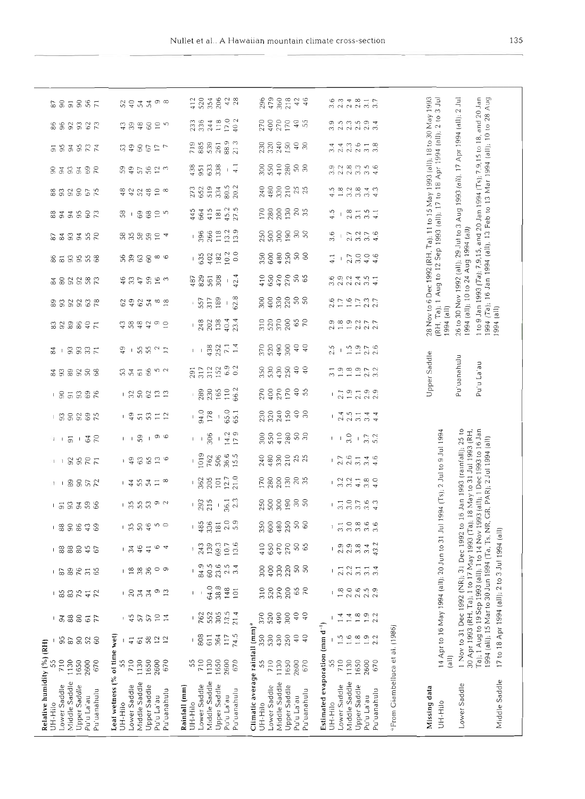| នទី ទី និង ដ                                                                                                                                                                                                                  | $\sigma \infty$<br>53455                                                                                              | 520<br>354<br>206<br>42<br>28<br>412                                                                   | 360<br>218<br>46<br>296<br>479<br>$42$                                                                                               | $3.\overline{3}$<br>$2.\overline{3}$<br>$7877$<br>$2877$                                                                             |                                                                           | 3 Jul                                                                        |                                                                                                                                                                                                                                                                                                                               |                                |
|-------------------------------------------------------------------------------------------------------------------------------------------------------------------------------------------------------------------------------|-----------------------------------------------------------------------------------------------------------------------|--------------------------------------------------------------------------------------------------------|--------------------------------------------------------------------------------------------------------------------------------------|--------------------------------------------------------------------------------------------------------------------------------------|---------------------------------------------------------------------------|------------------------------------------------------------------------------|-------------------------------------------------------------------------------------------------------------------------------------------------------------------------------------------------------------------------------------------------------------------------------------------------------------------------------|--------------------------------|
| 8883327                                                                                                                                                                                                                       | 77980<br>$\approx$ 50                                                                                                 | 17.0<br>402<br>244<br>118<br>336<br>233                                                                | $rac{9}{55}$                                                                                                                         | $\begin{array}{c} 3.9 \\ 2.5 \end{array}$<br>2<br>2222<br>223                                                                        | 28 Nov to 6 Dec 1992 (RH, Ta); 11 to 15 May 1993 (all); 18 to 30 May 1993 | 210                                                                          | 1 to 9 Jan 1993 (Ta); 7,9,15, and 20 Jan 1994 (Ts); 7,9,15 to 18, and 20 Jan<br>30 Nov 1992 (all); 29 Jul to 3 Aug 1993 (all), 17 Apr 1994 (all); 2 Jul<br>(Ta); 16 Jan 1994 (all), 13 Feb to 13 Mar 1994 (all); 10 to 28 Aug<br>(lls) 494 (all); 10 to 24 Aug 1994 (all)                                                     |                                |
| 5 S 3 S R K                                                                                                                                                                                                                   | 113985                                                                                                                | 88.9<br>213<br>719<br>885<br>539<br>261                                                                | 3335<br>3335<br>$\frac{1}{3}$                                                                                                        | $2.3$<br>26<br>$\begin{array}{c} 3 \ 3 \\ 3 \end{array}$<br>4<br>2.4<br>6                                                            |                                                                           | Aug to 12 Sep 1993 (all); 17 to 18 Apr 1994 (all);                           |                                                                                                                                                                                                                                                                                                                               |                                |
| $-333322$                                                                                                                                                                                                                     | 395622                                                                                                                | 633<br>438<br>951<br>$\frac{1}{4}$                                                                     | 00000000000                                                                                                                          | a a a a a a<br>a a a a a a                                                                                                           |                                                                           |                                                                              |                                                                                                                                                                                                                                                                                                                               |                                |
| 833852                                                                                                                                                                                                                        | 4454186                                                                                                               | 80.5<br>20.2<br>519<br>334<br>273<br>652                                                               | 240                                                                                                                                  | 5<br>$\infty$<br>$2842$<br>$2942$<br>$\rightarrow$<br>₹                                                                              |                                                                           |                                                                              |                                                                                                                                                                                                                                                                                                                               |                                |
| 333337                                                                                                                                                                                                                        | 88075<br>58<br>$\mathbf{I}$                                                                                           | 45.2<br>27.5<br>415<br>181<br>445<br>664                                                               | 2880<br>$\frac{20}{35}$                                                                                                              | $28 - 5 - 1$<br>$29 - 5 - 1$<br>4.5                                                                                                  |                                                                           |                                                                              |                                                                                                                                                                                                                                                                                                                               |                                |
| 633352                                                                                                                                                                                                                        | 888824                                                                                                                | 13.9<br>13.2<br>266<br>118<br>396<br>L                                                                 | <b>RESERR</b>                                                                                                                        | 3.6<br>$7.7$<br>$7.7$<br>$7.7$<br>$4.6$                                                                                              |                                                                           |                                                                              |                                                                                                                                                                                                                                                                                                                               |                                |
| 853558                                                                                                                                                                                                                        | 999990                                                                                                                | 0.0<br>10.2<br>402<br>182<br>635<br>L                                                                  | 30000000000                                                                                                                          | $-2.7$<br>3.0<br>4.0<br>4.6<br>4.1                                                                                                   |                                                                           |                                                                              |                                                                                                                                                                                                                                                                                                                               |                                |
| 383337                                                                                                                                                                                                                        | 47.4997                                                                                                               | 42.4<br>487<br>829<br>561<br>308                                                                       | 410<br>650<br>470<br>270<br>50<br>65                                                                                                 | 6 9 9 2 4 5 4<br>6 9 9 9 9 9 9                                                                                                       |                                                                           |                                                                              |                                                                                                                                                                                                                                                                                                                               |                                |
| 333338                                                                                                                                                                                                                        | 2927888                                                                                                               | 62.8<br>317<br>189<br>-<br>557                                                                         | 2222222                                                                                                                              | $2.6$<br>1.7<br>$1.7$<br>$1.7$<br>$2.3$                                                                                              |                                                                           | $Ta$ ; 1                                                                     |                                                                                                                                                                                                                                                                                                                               | (a)                            |
| 333897                                                                                                                                                                                                                        | 458490                                                                                                                | 23.4<br>248<br>202<br>138<br>40.4                                                                      | 65                                                                                                                                   | 1.99277<br>2.9                                                                                                                       |                                                                           | 1994 (all)<br>(RH,                                                           | 26 <sub>to</sub>                                                                                                                                                                                                                                                                                                              | 1994<br>994                    |
| $3337$<br>24<br>$\overline{\phantom{a}}$                                                                                                                                                                                      | $1.552$ $2.5$<br>GÞ                                                                                                   | 432<br>252<br>14<br>14<br>$\vert - \vert$                                                              | 40                                                                                                                                   | 2.5<br>$1.9$<br>$1.9$<br>$2.6$<br>$2.6$                                                                                              |                                                                           |                                                                              |                                                                                                                                                                                                                                                                                                                               |                                |
| 333363                                                                                                                                                                                                                        | 335852                                                                                                                | 6.9<br>0.2<br>312<br>291<br>317                                                                        | $^{40}_{0}$                                                                                                                          | 798972                                                                                                                               | Upper Saddle                                                              |                                                                              | Pu'uanahulu                                                                                                                                                                                                                                                                                                                   | Pu'u La'au                     |
| $-853388$                                                                                                                                                                                                                     | 잃어 있음                                                                                                                 | 66.2<br>165<br>110<br>230<br>289                                                                       | $270$<br>$400$<br>$170$<br>40                                                                                                        | 2.1                                                                                                                                  |                                                                           |                                                                              |                                                                                                                                                                                                                                                                                                                               |                                |
| $-33332$                                                                                                                                                                                                                      | $-95372$                                                                                                              | 65.0<br>94.0<br>178<br>65.1<br>$\mathfrak l$                                                           | 33335<br>$rac{6}{30}$                                                                                                                | $2.\overline{5}$<br>$3.\overline{1}$<br>$\frac{1}{2.4}$<br>3.4<br>4.4                                                                |                                                                           |                                                                              |                                                                                                                                                                                                                                                                                                                               |                                |
| $\overline{91}$<br>$-58$<br>$1 - 1$                                                                                                                                                                                           | $1 \circ \circ$<br>59<br>$\mathbf{I} = \mathbf{I}$                                                                    | $-14.2$<br>9<br>306<br>$\mathbf{I} = \mathbf{I}$<br>$\overline{C}$                                     | 882888                                                                                                                               | $3.7$<br>$3.7$<br>$5.2$<br>$\mathsf{I}=\mathsf{I}$                                                                                   |                                                                           |                                                                              |                                                                                                                                                                                                                                                                                                                               |                                |
| 35 R T<br>$1 - 1$                                                                                                                                                                                                             | 1900020                                                                                                               | 1019<br>36.6<br>15.5<br>762<br>506                                                                     |                                                                                                                                      | $2.7$<br>$2.6$<br>$3.1$<br>$3.\overline{4}$<br>$4.\overline{6}$                                                                      |                                                                           |                                                                              |                                                                                                                                                                                                                                                                                                                               | NR, GR, PAR); 2 Jul 1994 (all) |
| 89572<br>i I                                                                                                                                                                                                                  | $-4.547$<br>$\infty$                                                                                                  | $12.7$<br>$21.0$<br>205<br>362<br>$101$                                                                | 12882285                                                                                                                             | $3.0$<br>$4.0$<br>$3.2$<br>$3.2$<br>$4.1$                                                                                            |                                                                           |                                                                              |                                                                                                                                                                                                                                                                                                                               |                                |
| 3338<br>$\overline{5}$                                                                                                                                                                                                        | $-55$<br>5392                                                                                                         | 2.3<br>215<br>36.1<br>293<br>$\mathsf I$                                                               | 250<br>300<br>$\begin{array}{c} 30 \\ 50 \end{array}$                                                                                | $0.560$<br>$0.760$<br>$0.760$<br>3.1                                                                                                 |                                                                           |                                                                              |                                                                                                                                                                                                                                                                                                                               |                                |
| $-$ 3 $-$ 3 $-$ 3 $-$ 3 $-$ 3 $-$ 3 $-$ 3 $-$ 3 $-$ 3 $-$ 3 $-$ 3 $-$ 3 $-$ 3 $-$ 3 $-$ 3 $-$ 3 $-$ 3 $-$ 3 $-$ 3 $-$ 3 $-$ 3 $-$ 3 $-$ 3 $-$ 3 $-$ 3 $-$ 3 $-$ 3 $-$ 3 $-$ 3 $-$ 3 $-$ 3 $-$ 3 $-$ 3 $-$ 3 $-$ 3 $-$ 3 $-$ 3 | 1304<br>$\circ$                                                                                                       | $2.0$<br>$5.9$<br>336<br>485<br>181                                                                    | 2888888                                                                                                                              | 1000000                                                                                                                              |                                                                           |                                                                              |                                                                                                                                                                                                                                                                                                                               | $\equiv$                       |
| 888846<br>L                                                                                                                                                                                                                   | 46<br>$\frac{6}{4}$<br>$\frac{1}{2}$<br>$\frac{1}{4}$                                                                 | 139<br>69.3<br>13.6<br>10.7<br>243<br>$\mathfrak l$                                                    | 470<br>270<br>650<br>50<br>65<br>410                                                                                                 | 43.2<br>3.4                                                                                                                          |                                                                           |                                                                              |                                                                                                                                                                                                                                                                                                                               |                                |
| 89<br>$31$<br>65<br>67<br>L                                                                                                                                                                                                   | $18$<br>36<br>၀ ၈                                                                                                     | 84.9<br>60.5<br>23.6<br>2.5<br>3.4                                                                     | 400<br>330<br>50<br>300                                                                                                              | $23.7$<br>$3.7$<br>3.4<br>2.1                                                                                                        |                                                                           |                                                                              |                                                                                                                                                                                                                                                                                                                               |                                |
| 85<br>$\approx$<br>7547<br>L                                                                                                                                                                                                  | $-233$<br>$\frac{9}{13}$                                                                                              | 64.0<br>38.8<br>148<br>101<br>I                                                                        | 310<br>520<br>370<br>200<br>65<br>70                                                                                                 | $2.6$ $% \sim 2.6$<br>1.8<br>$2.\overline{3}$                                                                                        |                                                                           |                                                                              | 1 Nov to 31 Dec 1992 (NR); 31 Dec 1992 to 16 Jan 1993 (rainfall); 25 to<br>Ta); 1 Aug to 19 Sep 1993 (all); 1 to 14 Nov 1993 (all); 1 Dec 1993 to 16 Jan<br>30 Apr 1993 (RH, Ta); 1 to 17 May 1993 (Ta); 18 May to 31 Jul 1993 (RH,<br>1994 (all); 15 Mar to 30 Jun 1994 (Ta, Ts,<br>17 to 18 Apr 1994 (all); 2 to 3 Jul 1994 |                                |
| $88$<br>$_{\rm 80}$<br>$\mathfrak{g}$<br>$\frac{51}{77}$<br>L                                                                                                                                                                 | 45<br>57<br>57<br>$\frac{0}{14}$                                                                                      | 13.5<br>552<br>21.4<br>305<br>762                                                                      | 520<br>370<br>490<br>300<br>$\frac{1}{9}$<br>$\sqrt{4}$                                                                              | 1.4<br>$1.9$<br>$2.2$<br>1.4<br>1.8                                                                                                  |                                                                           |                                                                              |                                                                                                                                                                                                                                                                                                                               |                                |
| 368<br>52<br>60                                                                                                                                                                                                               | 6822<br>$\frac{4}{1}$                                                                                                 | 74.5<br>808<br>611<br>364<br>117                                                                       | 350<br>530<br>430<br>250<br>$\rm 40$<br>$\sqrt{4}$                                                                                   | $1.5$<br>$1.6$<br>1.902                                                                                                              |                                                                           | 14 Apr to 16 May 1994 (all); 20 Jun to 31 Jul 1994 (Ts); 2 Jul to 9 Jul 1994 |                                                                                                                                                                                                                                                                                                                               |                                |
| 1650<br>710<br>1130<br>2600<br>55<br>670                                                                                                                                                                                      | 55<br>710<br>1130<br>1650<br>2600<br>670                                                                              | 55<br>710<br>1130<br>1650<br>2600<br>670                                                               | 55<br>710<br>1130<br>1650<br>2600<br>670                                                                                             | 55<br>710<br>1130<br>1650<br>2600<br>670                                                                                             |                                                                           | $\left( \text{all} \right)$                                                  |                                                                                                                                                                                                                                                                                                                               |                                |
| Relative humidity (%) (RH)<br>Middle Saddle<br>Lower Saddle<br>Upper Saddle<br>Pu'uanahulu<br>Pu'u La'au<br>UH-Hilo                                                                                                           | Leaf wetness (% of time wet)<br>Middle Saddle<br>Lower Saddle<br>Upper Saddle<br>Pu'uanahulu<br>Pu'u La'au<br>UH-Hilo | Middle Saddle<br>Lower Saddle<br>Upper Saddle<br>Rainfall (mm)<br>Pu'uanahulu<br>Pu'u La'au<br>UH-Hilo | Climatic average rainfall (mm) <sup>a</sup><br>Middle Saddle<br>Lower Saddle<br>Upper Saddle<br>Pu'uanahulu<br>pu'u La'au<br>UH-Hilo | Estimated evaporation (mm d <sup>-1</sup> )<br>Middle Saddle<br>Lower Saddle<br>Upper Saddle<br>Pu'uanahulu<br>bu'u La'au<br>UH-Hilo | <sup>a</sup> From Giambelluca et al. (1986)<br>Missing data               | UH-Hilo                                                                      | Lower Saddle                                                                                                                                                                                                                                                                                                                  | Middle Saddle                  |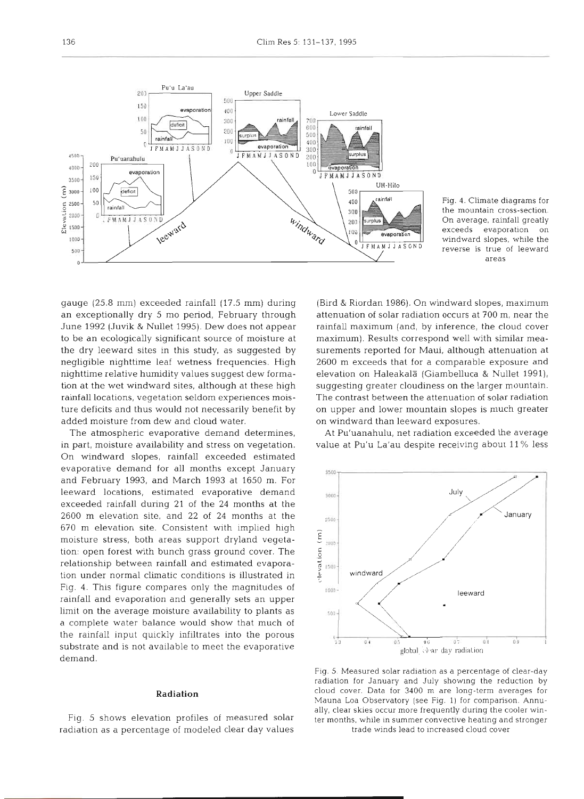

Fig. 4. Climate diagrams for the mountain cross-section. On average, rainfall greatly exceeds evaporation on windward slopes, while the reverse is true of leeward areas

gauge (25.8 mm) exceeded rainfall (17.5 mm) during an exceptionally dry 5 mo period, February through June 1992 (Juvik & Nullet 1995). Dew does not appear to be an ecologically significant source of moisture at the dry leeward sites in this study, as suggested by negligible nighttime leaf wetness frequencies. High nighttime relative humidity values suggest dew formation at the wet windward sites, although at these high rainfall locations, vegetation seldom experiences moisture deficits and thus would not necessarily benefit by added moisture from dew and cloud water.

The atmospheric evaporative demand determines, in part, moisture availability and stress on vegetation. On windward slopes, rainfall exceeded estimated evaporative demand for all months except January and February 1993, and March 1993 at 1650 m. For leeward locations, estimated evaporative demand exceeded rainfall during 21 of the 24 months at the 2600 m elevation site, and 22 of 24 months at the  $\frac{1}{2500}$ 670 m elevation site. Consistent with implied high moisture stress, both areas support dryland vegetamoisture stress, both areas support dryland vegetation: open forest with bunch grass ground cover. The relationship between rainfall and estimated evaporation under normal climatic conditions is illustrated in  $\frac{2}{5}$ Fig. 4. This figure compares only the magnitudes of rainfall and evaporation and generally sets an upper limit on the average moisture availability to plants as a complete water balance would show that much of the rainfall input quickly infiltrates into the porous substrate and is not available to meet the evaporative demand.

### **Radiation**

Fig. 5 shows elevation profiles of measured solar radiation as a percentage of modeled clear day values (Bird & Riordan 1986). On windward slopes, maximum attenuation of solar radiation occurs at 700 m, near the rainfall maximum (and, by inference, the cloud cover maximum). Results correspond well with similar measurements reported for Maui, although attenuation at 2600 m exceeds that for a comparable exposure and elevation on Haleakala (Giambelluca & Nullet 1991), suggesting greater cloudiness on the larger mountain. The contrast between the attenuation of solar radiation on upper and lower mountain slopes is much greater on windward than leeward exposures.

At Pu'uanahulu, net radiation exceeded the average value at Pu'u La'au despite receiving about 11 % less



Fig. 5. Measured solar radiation as a percentage of clear-day radiation for January and July showing the reduction by cloud cover. Data for 3400 m are long-term averages for Mauna Loa Observatory (see Fig. 1) for comparison. Annually, clear skies occur more frequently during the cooler winter months, while in summer convective heating and stronger trade winds lead to increased cloud cover